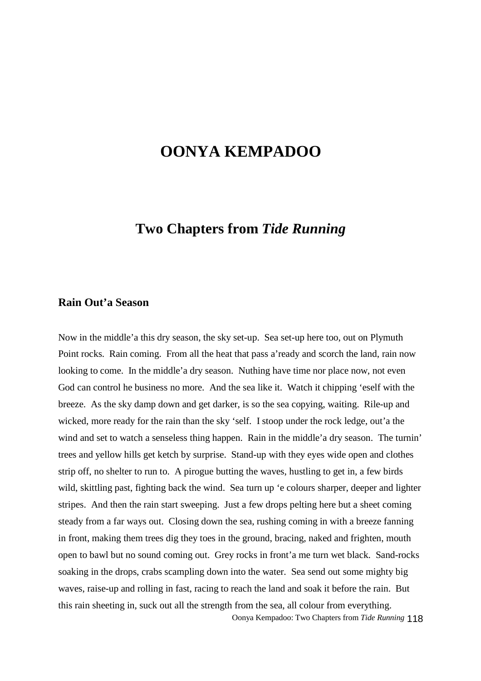# **OONYA KEMPADOO**

## **Two Chapters from** *Tide Running*

#### **Rain Out'a Season**

 Oonya Kempadoo: Two Chapters from *Tide Running* 118 Now in the middle'a this dry season, the sky set-up. Sea set-up here too, out on Plymuth Point rocks. Rain coming. From all the heat that pass a'ready and scorch the land, rain now looking to come. In the middle'a dry season. Nuthing have time nor place now, not even God can control he business no more. And the sea like it. Watch it chipping 'eself with the breeze. As the sky damp down and get darker, is so the sea copying, waiting. Rile-up and wicked, more ready for the rain than the sky 'self. I stoop under the rock ledge, out'a the wind and set to watch a senseless thing happen. Rain in the middle'a dry season. The turnin' trees and yellow hills get ketch by surprise. Stand-up with they eyes wide open and clothes strip off, no shelter to run to. A pirogue butting the waves, hustling to get in, a few birds wild, skittling past, fighting back the wind. Sea turn up 'e colours sharper, deeper and lighter stripes. And then the rain start sweeping. Just a few drops pelting here but a sheet coming steady from a far ways out. Closing down the sea, rushing coming in with a breeze fanning in front, making them trees dig they toes in the ground, bracing, naked and frighten, mouth open to bawl but no sound coming out. Grey rocks in front'a me turn wet black. Sand-rocks soaking in the drops, crabs scampling down into the water. Sea send out some mighty big waves, raise-up and rolling in fast, racing to reach the land and soak it before the rain. But this rain sheeting in, suck out all the strength from the sea, all colour from everything.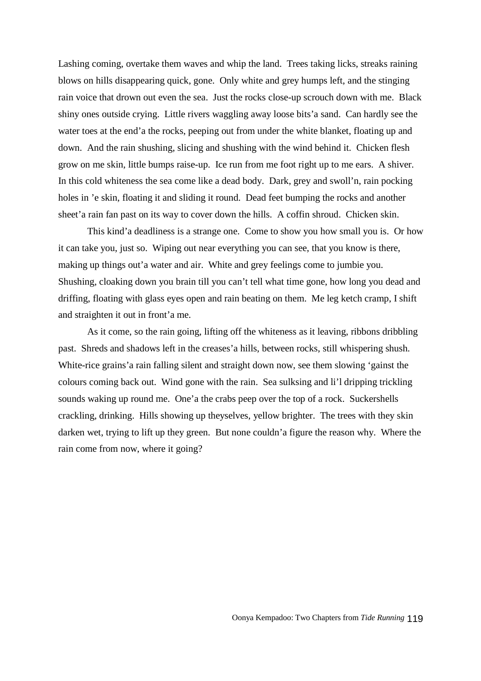Lashing coming, overtake them waves and whip the land. Trees taking licks, streaks raining blows on hills disappearing quick, gone. Only white and grey humps left, and the stinging rain voice that drown out even the sea. Just the rocks close-up scrouch down with me. Black shiny ones outside crying. Little rivers waggling away loose bits'a sand. Can hardly see the water toes at the end'a the rocks, peeping out from under the white blanket, floating up and down. And the rain shushing, slicing and shushing with the wind behind it. Chicken flesh grow on me skin, little bumps raise-up. Ice run from me foot right up to me ears. A shiver. In this cold whiteness the sea come like a dead body. Dark, grey and swoll'n, rain pocking holes in 'e skin, floating it and sliding it round. Dead feet bumping the rocks and another sheet'a rain fan past on its way to cover down the hills. A coffin shroud. Chicken skin.

This kind'a deadliness is a strange one. Come to show you how small you is. Or how it can take you, just so. Wiping out near everything you can see, that you know is there, making up things out'a water and air. White and grey feelings come to jumbie you. Shushing, cloaking down you brain till you can't tell what time gone, how long you dead and driffing, floating with glass eyes open and rain beating on them. Me leg ketch cramp, I shift and straighten it out in front'a me.

As it come, so the rain going, lifting off the whiteness as it leaving, ribbons dribbling past. Shreds and shadows left in the creases'a hills, between rocks, still whispering shush. White-rice grains'a rain falling silent and straight down now, see them slowing 'gainst the colours coming back out. Wind gone with the rain. Sea sulksing and li'l dripping trickling sounds waking up round me. One'a the crabs peep over the top of a rock. Suckershells crackling, drinking. Hills showing up theyselves, yellow brighter. The trees with they skin darken wet, trying to lift up they green. But none couldn'a figure the reason why. Where the rain come from now, where it going?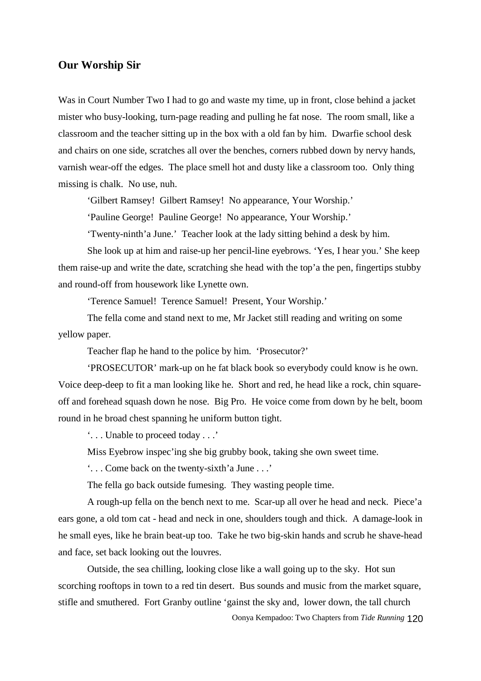#### **Our Worship Sir**

Was in Court Number Two I had to go and waste my time, up in front, close behind a jacket mister who busy-looking, turn-page reading and pulling he fat nose. The room small, like a classroom and the teacher sitting up in the box with a old fan by him. Dwarfie school desk and chairs on one side, scratches all over the benches, corners rubbed down by nervy hands, varnish wear-off the edges. The place smell hot and dusty like a classroom too. Only thing missing is chalk. No use, nuh.

'Gilbert Ramsey! Gilbert Ramsey! No appearance, Your Worship.'

'Pauline George! Pauline George! No appearance, Your Worship.'

'Twenty-ninth'a June.' Teacher look at the lady sitting behind a desk by him.

She look up at him and raise-up her pencil-line eyebrows. 'Yes, I hear you.' She keep them raise-up and write the date, scratching she head with the top'a the pen, fingertips stubby and round-off from housework like Lynette own.

'Terence Samuel! Terence Samuel! Present, Your Worship.'

The fella come and stand next to me, Mr Jacket still reading and writing on some yellow paper.

Teacher flap he hand to the police by him. 'Prosecutor?'

'PROSECUTOR' mark-up on he fat black book so everybody could know is he own. Voice deep-deep to fit a man looking like he. Short and red, he head like a rock, chin squareoff and forehead squash down he nose. Big Pro. He voice come from down by he belt, boom round in he broad chest spanning he uniform button tight.

'. . . Unable to proceed today . . .'

Miss Eyebrow inspec'ing she big grubby book, taking she own sweet time.

'. . . Come back on the twenty-sixth'a June . . .'

The fella go back outside fumesing. They wasting people time.

A rough-up fella on the bench next to me. Scar-up all over he head and neck. Piece'a ears gone, a old tom cat - head and neck in one, shoulders tough and thick. A damage-look in he small eyes, like he brain beat-up too. Take he two big-skin hands and scrub he shave-head and face, set back looking out the louvres.

Outside, the sea chilling, looking close like a wall going up to the sky. Hot sun scorching rooftops in town to a red tin desert. Bus sounds and music from the market square, stifle and smuthered. Fort Granby outline 'gainst the sky and, lower down, the tall church

Oonya Kempadoo: Two Chapters from *Tide Running* 120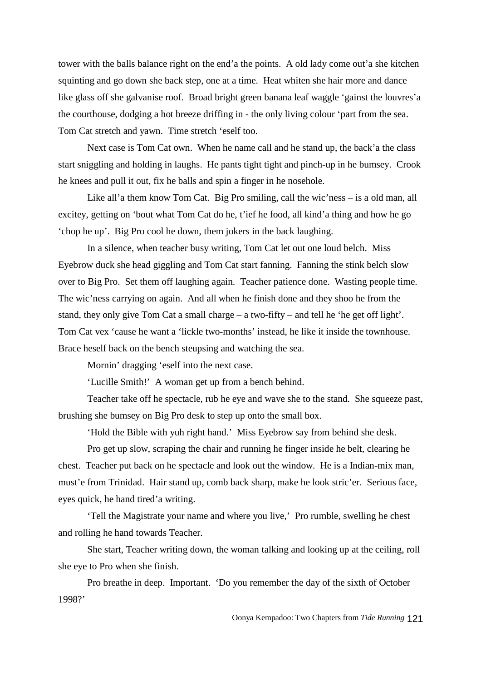tower with the balls balance right on the end'a the points. A old lady come out'a she kitchen squinting and go down she back step, one at a time. Heat whiten she hair more and dance like glass off she galvanise roof. Broad bright green banana leaf waggle 'gainst the louvres'a the courthouse, dodging a hot breeze driffing in - the only living colour 'part from the sea. Tom Cat stretch and yawn. Time stretch 'eself too.

Next case is Tom Cat own. When he name call and he stand up, the back'a the class start sniggling and holding in laughs. He pants tight tight and pinch-up in he bumsey. Crook he knees and pull it out, fix he balls and spin a finger in he nosehole.

Like all'a them know Tom Cat. Big Pro smiling, call the wic'ness – is a old man, all excitey, getting on 'bout what Tom Cat do he, t'ief he food, all kind'a thing and how he go 'chop he up'. Big Pro cool he down, them jokers in the back laughing.

In a silence, when teacher busy writing, Tom Cat let out one loud belch. Miss Eyebrow duck she head giggling and Tom Cat start fanning. Fanning the stink belch slow over to Big Pro. Set them off laughing again. Teacher patience done. Wasting people time. The wic'ness carrying on again. And all when he finish done and they shoo he from the stand, they only give Tom Cat a small charge – a two-fifty – and tell he 'he get off light'. Tom Cat vex 'cause he want a 'lickle two-months' instead, he like it inside the townhouse. Brace heself back on the bench steupsing and watching the sea.

Mornin' dragging 'eself into the next case.

'Lucille Smith!' A woman get up from a bench behind.

Teacher take off he spectacle, rub he eye and wave she to the stand. She squeeze past, brushing she bumsey on Big Pro desk to step up onto the small box.

'Hold the Bible with yuh right hand.' Miss Eyebrow say from behind she desk.

Pro get up slow, scraping the chair and running he finger inside he belt, clearing he chest. Teacher put back on he spectacle and look out the window. He is a Indian-mix man, must'e from Trinidad. Hair stand up, comb back sharp, make he look stric'er. Serious face, eyes quick, he hand tired'a writing.

'Tell the Magistrate your name and where you live,' Pro rumble, swelling he chest and rolling he hand towards Teacher.

She start, Teacher writing down, the woman talking and looking up at the ceiling, roll she eye to Pro when she finish.

Pro breathe in deep. Important. 'Do you remember the day of the sixth of October 1998?'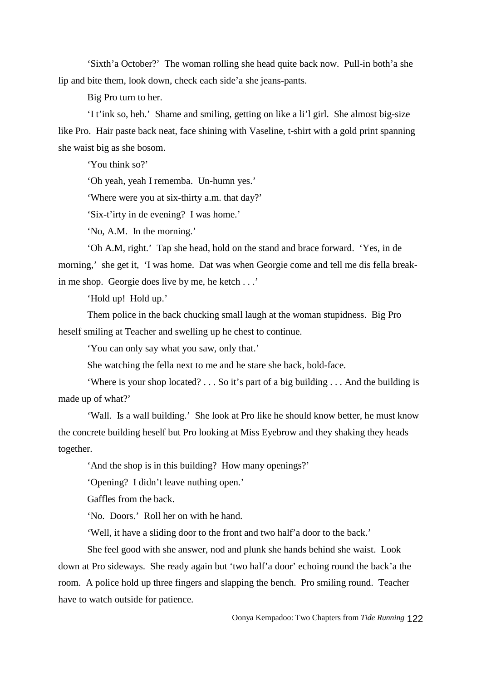'Sixth'a October?' The woman rolling she head quite back now. Pull-in both'a she lip and bite them, look down, check each side'a she jeans-pants.

Big Pro turn to her.

'I t'ink so, heh.' Shame and smiling, getting on like a li'l girl. She almost big-size like Pro. Hair paste back neat, face shining with Vaseline, t-shirt with a gold print spanning she waist big as she bosom.

'You think so?'

'Oh yeah, yeah I rememba. Un-humn yes.'

'Where were you at six-thirty a.m. that day?'

'Six-t'irty in de evening? I was home.'

'No, A.M. In the morning.'

'Oh A.M, right.' Tap she head, hold on the stand and brace forward. 'Yes, in de morning,' she get it, 'I was home. Dat was when Georgie come and tell me dis fella breakin me shop. Georgie does live by me, he ketch . . .'

'Hold up! Hold up.'

Them police in the back chucking small laugh at the woman stupidness. Big Pro heself smiling at Teacher and swelling up he chest to continue.

'You can only say what you saw, only that.'

She watching the fella next to me and he stare she back, bold-face.

'Where is your shop located? . . . So it's part of a big building . . . And the building is made up of what?'

'Wall. Is a wall building.' She look at Pro like he should know better, he must know the concrete building heself but Pro looking at Miss Eyebrow and they shaking they heads together.

'And the shop is in this building? How many openings?'

'Opening? I didn't leave nuthing open.'

Gaffles from the back.

'No. Doors.' Roll her on with he hand.

'Well, it have a sliding door to the front and two half'a door to the back.'

She feel good with she answer, nod and plunk she hands behind she waist. Look down at Pro sideways. She ready again but 'two half'a door' echoing round the back'a the room. A police hold up three fingers and slapping the bench. Pro smiling round. Teacher have to watch outside for patience.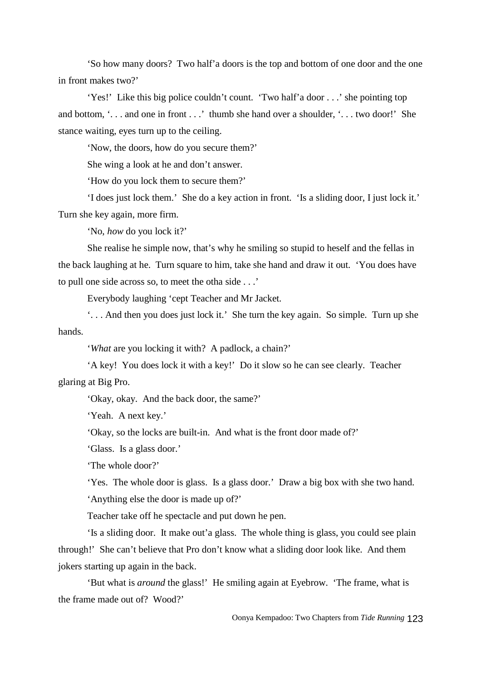'So how many doors? Two half'a doors is the top and bottom of one door and the one in front makes two?'

'Yes!' Like this big police couldn't count. 'Two half'a door . . .' she pointing top and bottom, '... and one in front ...' thumb she hand over a shoulder, '... two door!' She stance waiting, eyes turn up to the ceiling.

'Now, the doors, how do you secure them?'

She wing a look at he and don't answer.

'How do you lock them to secure them?'

'I does just lock them.' She do a key action in front. 'Is a sliding door, I just lock it.' Turn she key again, more firm.

'No, *how* do you lock it?'

She realise he simple now, that's why he smiling so stupid to heself and the fellas in the back laughing at he. Turn square to him, take she hand and draw it out. 'You does have to pull one side across so, to meet the otha side . . .'

Everybody laughing 'cept Teacher and Mr Jacket.

'. . . And then you does just lock it.' She turn the key again. So simple. Turn up she hands.

'*What* are you locking it with? A padlock, a chain?'

'A key! You does lock it with a key!' Do it slow so he can see clearly. Teacher glaring at Big Pro.

'Okay, okay. And the back door, the same?'

'Yeah. A next key.'

'Okay, so the locks are built-in. And what is the front door made of?'

'Glass. Is a glass door.'

'The whole door?'

'Yes. The whole door is glass. Is a glass door.' Draw a big box with she two hand.

'Anything else the door is made up of?'

Teacher take off he spectacle and put down he pen.

'Is a sliding door. It make out'a glass. The whole thing is glass, you could see plain through!' She can't believe that Pro don't know what a sliding door look like. And them jokers starting up again in the back.

'But what is *around* the glass!' He smiling again at Eyebrow. 'The frame, what is the frame made out of? Wood?'

Oonya Kempadoo: Two Chapters from *Tide Running* 123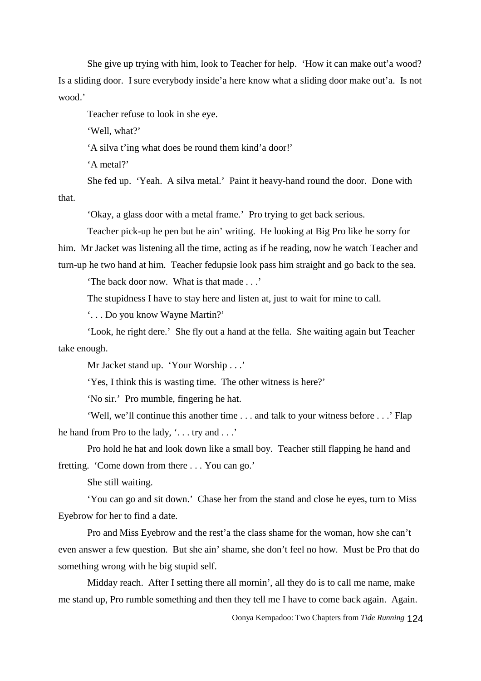She give up trying with him, look to Teacher for help. 'How it can make out'a wood? Is a sliding door. I sure everybody inside'a here know what a sliding door make out'a. Is not wood.'

Teacher refuse to look in she eye.

'Well, what?'

'A silva t'ing what does be round them kind'a door!'

'A metal?'

She fed up. 'Yeah. A silva metal.' Paint it heavy-hand round the door. Done with that.

'Okay, a glass door with a metal frame.' Pro trying to get back serious.

Teacher pick-up he pen but he ain' writing. He looking at Big Pro like he sorry for him. Mr Jacket was listening all the time, acting as if he reading, now he watch Teacher and turn-up he two hand at him. Teacher fedupsie look pass him straight and go back to the sea.

'The back door now. What is that made . . .'

The stupidness I have to stay here and listen at, just to wait for mine to call.

'. . . Do you know Wayne Martin?'

'Look, he right dere.' She fly out a hand at the fella. She waiting again but Teacher take enough.

Mr Jacket stand up. 'Your Worship . . .'

'Yes, I think this is wasting time. The other witness is here?'

'No sir.' Pro mumble, fingering he hat.

'Well, we'll continue this another time . . . and talk to your witness before . . .' Flap he hand from Pro to the lady, '. . . try and . . .'

Pro hold he hat and look down like a small boy. Teacher still flapping he hand and fretting. 'Come down from there . . . You can go.'

She still waiting.

'You can go and sit down.' Chase her from the stand and close he eyes, turn to Miss Eyebrow for her to find a date.

Pro and Miss Eyebrow and the rest'a the class shame for the woman, how she can't even answer a few question. But she ain' shame, she don't feel no how. Must be Pro that do something wrong with he big stupid self.

Midday reach. After I setting there all mornin', all they do is to call me name, make me stand up, Pro rumble something and then they tell me I have to come back again. Again.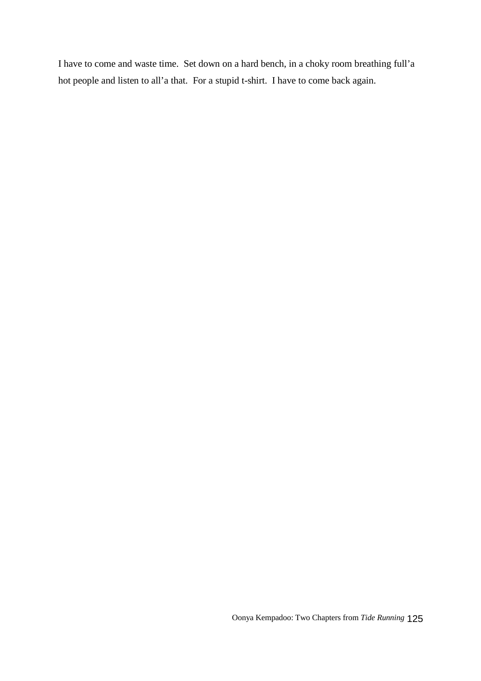I have to come and waste time. Set down on a hard bench, in a choky room breathing full'a hot people and listen to all'a that. For a stupid t-shirt. I have to come back again.